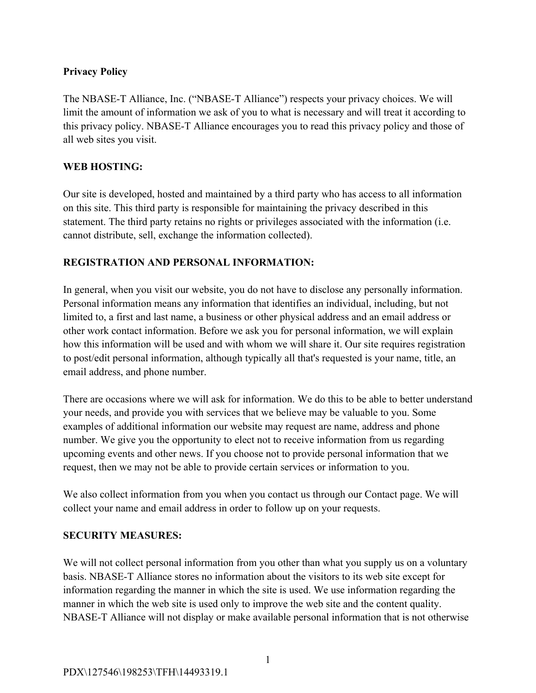# **Privacy Policy**

The NBASE-T Alliance, Inc. ("NBASE-T Alliance") respects your privacy choices. We will limit the amount of information we ask of you to what is necessary and will treat it according to this privacy policy. NBASE-T Alliance encourages you to read this privacy policy and those of all web sites you visit.

## **WEB HOSTING:**

Our site is developed, hosted and maintained by a third party who has access to all information on this site. This third party is responsible for maintaining the privacy described in this statement. The third party retains no rights or privileges associated with the information (i.e. cannot distribute, sell, exchange the information collected).

# **REGISTRATION AND PERSONAL INFORMATION:**

In general, when you visit our website, you do not have to disclose any personally information. Personal information means any information that identifies an individual, including, but not limited to, a first and last name, a business or other physical address and an email address or other work contact information. Before we ask you for personal information, we will explain how this information will be used and with whom we will share it. Our site requires registration to post/edit personal information, although typically all that's requested is your name, title, an email address, and phone number.

There are occasions where we will ask for information. We do this to be able to better understand your needs, and provide you with services that we believe may be valuable to you. Some examples of additional information our website may request are name, address and phone number. We give you the opportunity to elect not to receive information from us regarding upcoming events and other news. If you choose not to provide personal information that we request, then we may not be able to provide certain services or information to you.

We also collect information from you when you contact us through our Contact page. We will collect your name and email address in order to follow up on your requests.

### **SECURITY MEASURES:**

We will not collect personal information from you other than what you supply us on a voluntary basis. NBASE-T Alliance stores no information about the visitors to its web site except for information regarding the manner in which the site is used. We use information regarding the manner in which the web site is used only to improve the web site and the content quality. NBASE-T Alliance will not display or make available personal information that is not otherwise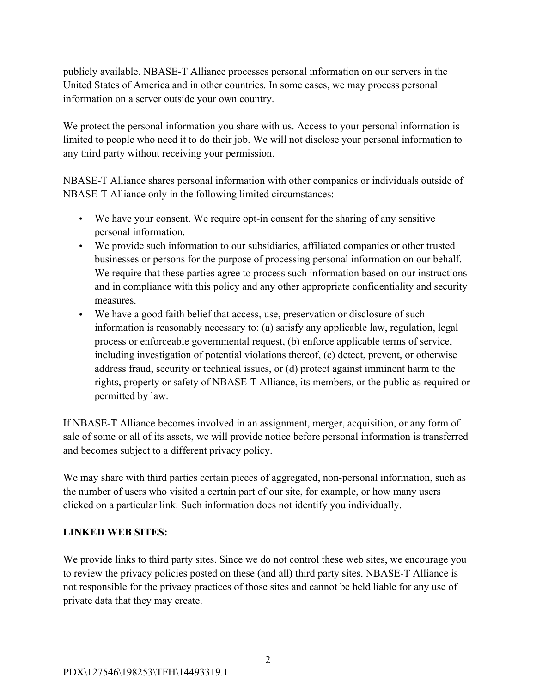publicly available. NBASE-T Alliance processes personal information on our servers in the United States of America and in other countries. In some cases, we may process personal information on a server outside your own country.

We protect the personal information you share with us. Access to your personal information is limited to people who need it to do their job. We will not disclose your personal information to any third party without receiving your permission.

NBASE-T Alliance shares personal information with other companies or individuals outside of NBASE-T Alliance only in the following limited circumstances:

- We have your consent. We require opt-in consent for the sharing of any sensitive personal information.
- We provide such information to our subsidiaries, affiliated companies or other trusted businesses or persons for the purpose of processing personal information on our behalf. We require that these parties agree to process such information based on our instructions and in compliance with this policy and any other appropriate confidentiality and security measures.
- We have a good faith belief that access, use, preservation or disclosure of such information is reasonably necessary to: (a) satisfy any applicable law, regulation, legal process or enforceable governmental request, (b) enforce applicable terms of service, including investigation of potential violations thereof, (c) detect, prevent, or otherwise address fraud, security or technical issues, or (d) protect against imminent harm to the rights, property or safety of NBASE-T Alliance, its members, or the public as required or permitted by law.

If NBASE-T Alliance becomes involved in an assignment, merger, acquisition, or any form of sale of some or all of its assets, we will provide notice before personal information is transferred and becomes subject to a different privacy policy.

We may share with third parties certain pieces of aggregated, non-personal information, such as the number of users who visited a certain part of our site, for example, or how many users clicked on a particular link. Such information does not identify you individually.

### **LINKED WEB SITES:**

We provide links to third party sites. Since we do not control these web sites, we encourage you to review the privacy policies posted on these (and all) third party sites. NBASE-T Alliance is not responsible for the privacy practices of those sites and cannot be held liable for any use of private data that they may create.